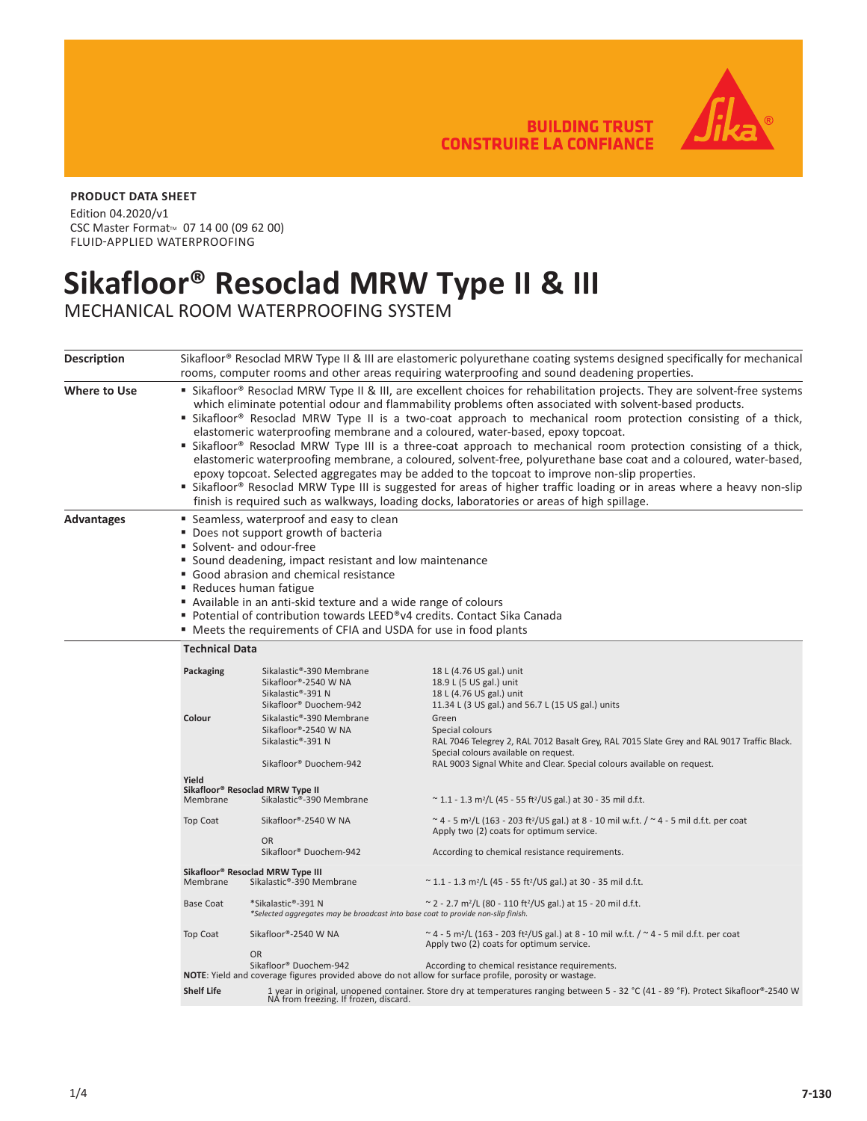**BUILDING TRUST CONSTRUIRE LA CONFIANCE** 



## **PRODUCT DATA SHEET**

Edition 04.2020/v1 CSC Master Format<sup>™</sup> 07 14 00 (09 62 00) FLUID-APPLIED WATERPROOFING

## **Sikafloor® Resoclad MRW Type II & III**

MECHANICAL ROOM WATERPROOFING SYSTEM

| <b>Description</b>  |                                                                                                                                                                                                                                                                                                                                                                                                                                                                                                                                                                                                                                                                                                                                                                                                                                                                                                                                                                                                             | Sikafloor® Resoclad MRW Type II & III are elastomeric polyurethane coating systems designed specifically for mechanical<br>rooms, computer rooms and other areas requiring waterproofing and sound deadening properties. |                                                                                                                                                                                                                                           |  |  |  |
|---------------------|-------------------------------------------------------------------------------------------------------------------------------------------------------------------------------------------------------------------------------------------------------------------------------------------------------------------------------------------------------------------------------------------------------------------------------------------------------------------------------------------------------------------------------------------------------------------------------------------------------------------------------------------------------------------------------------------------------------------------------------------------------------------------------------------------------------------------------------------------------------------------------------------------------------------------------------------------------------------------------------------------------------|--------------------------------------------------------------------------------------------------------------------------------------------------------------------------------------------------------------------------|-------------------------------------------------------------------------------------------------------------------------------------------------------------------------------------------------------------------------------------------|--|--|--|
| <b>Where to Use</b> | " Sikafloor® Resoclad MRW Type II & III, are excellent choices for rehabilitation projects. They are solvent-free systems<br>which eliminate potential odour and flammability problems often associated with solvent-based products.<br>" Sikafloor® Resoclad MRW Type II is a two-coat approach to mechanical room protection consisting of a thick,<br>elastomeric waterproofing membrane and a coloured, water-based, epoxy topcoat.<br>" Sikafloor® Resoclad MRW Type III is a three-coat approach to mechanical room protection consisting of a thick,<br>elastomeric waterproofing membrane, a coloured, solvent-free, polyurethane base coat and a coloured, water-based,<br>epoxy topcoat. Selected aggregates may be added to the topcoat to improve non-slip properties.<br>" Sikafloor® Resoclad MRW Type III is suggested for areas of higher traffic loading or in areas where a heavy non-slip<br>finish is required such as walkways, loading docks, laboratories or areas of high spillage. |                                                                                                                                                                                                                          |                                                                                                                                                                                                                                           |  |  |  |
| <b>Advantages</b>   | ■ Seamless, waterproof and easy to clean<br>• Does not support growth of bacteria<br>■ Solvent- and odour-free<br>• Sound deadening, impact resistant and low maintenance<br>• Good abrasion and chemical resistance<br>■ Reduces human fatigue<br>Available in an anti-skid texture and a wide range of colours<br>■ Potential of contribution towards LEED®v4 credits. Contact Sika Canada<br>" Meets the requirements of CFIA and USDA for use in food plants                                                                                                                                                                                                                                                                                                                                                                                                                                                                                                                                            |                                                                                                                                                                                                                          |                                                                                                                                                                                                                                           |  |  |  |
|                     | <b>Technical Data</b>                                                                                                                                                                                                                                                                                                                                                                                                                                                                                                                                                                                                                                                                                                                                                                                                                                                                                                                                                                                       |                                                                                                                                                                                                                          |                                                                                                                                                                                                                                           |  |  |  |
|                     | Packaging                                                                                                                                                                                                                                                                                                                                                                                                                                                                                                                                                                                                                                                                                                                                                                                                                                                                                                                                                                                                   | Sikalastic®-390 Membrane<br>Sikafloor®-2540 W NA<br>Sikalastic®-391 N<br>Sikafloor® Duochem-942                                                                                                                          | 18 L (4.76 US gal.) unit<br>18.9 L (5 US gal.) unit<br>18 L (4.76 US gal.) unit<br>11.34 L (3 US gal.) and 56.7 L (15 US gal.) units                                                                                                      |  |  |  |
|                     | Colour                                                                                                                                                                                                                                                                                                                                                                                                                                                                                                                                                                                                                                                                                                                                                                                                                                                                                                                                                                                                      | Sikalastic®-390 Membrane<br>Sikafloor®-2540 W NA<br>Sikalastic®-391 N<br>Sikafloor® Duochem-942                                                                                                                          | Green<br>Special colours<br>RAL 7046 Telegrey 2, RAL 7012 Basalt Grey, RAL 7015 Slate Grey and RAL 9017 Traffic Black.<br>Special colours available on request.<br>RAL 9003 Signal White and Clear. Special colours available on request. |  |  |  |
|                     | Yield<br>Membrane                                                                                                                                                                                                                                                                                                                                                                                                                                                                                                                                                                                                                                                                                                                                                                                                                                                                                                                                                                                           | Sikafloor® Resoclad MRW Type II<br>Sikalastic®-390 Membrane                                                                                                                                                              | $\sim$ 1.1 - 1.3 m <sup>2</sup> /L (45 - 55 ft <sup>2</sup> /US gal.) at 30 - 35 mil d.f.t.                                                                                                                                               |  |  |  |
|                     | Top Coat                                                                                                                                                                                                                                                                                                                                                                                                                                                                                                                                                                                                                                                                                                                                                                                                                                                                                                                                                                                                    | Sikafloor®-2540 W NA<br><b>OR</b><br>Sikafloor® Duochem-942                                                                                                                                                              | ~ 4 - 5 m <sup>2</sup> /L (163 - 203 ft <sup>2</sup> /US gal.) at 8 - 10 mil w.f.t. / ~ 4 - 5 mil d.f.t. per coat<br>Apply two (2) coats for optimum service.<br>According to chemical resistance requirements.                           |  |  |  |
|                     | Sikafloor® Resoclad MRW Type III<br>Sikalastic®-390 Membrane<br>Membrane<br>~ 1.1 - 1.3 m <sup>2</sup> /L (45 - 55 ft <sup>2</sup> /US gal.) at 30 - 35 mil d.f.t.                                                                                                                                                                                                                                                                                                                                                                                                                                                                                                                                                                                                                                                                                                                                                                                                                                          |                                                                                                                                                                                                                          |                                                                                                                                                                                                                                           |  |  |  |
|                     | <b>Base Coat</b>                                                                                                                                                                                                                                                                                                                                                                                                                                                                                                                                                                                                                                                                                                                                                                                                                                                                                                                                                                                            | *Sikalastic®-391 N<br>*Selected aggregates may be broadcast into base coat to provide non-slip finish.                                                                                                                   | ~ 2 - 2.7 m <sup>2</sup> /L (80 - 110 ft <sup>2</sup> /US gal.) at 15 - 20 mil d.f.t.                                                                                                                                                     |  |  |  |
|                     | Top Coat                                                                                                                                                                                                                                                                                                                                                                                                                                                                                                                                                                                                                                                                                                                                                                                                                                                                                                                                                                                                    | Sikafloor®-2540 W NA<br><b>OR</b>                                                                                                                                                                                        | ~ 4 - 5 m <sup>2</sup> /L (163 - 203 ft <sup>2</sup> /US gal.) at 8 - 10 mil w.f.t. / ~ 4 - 5 mil d.f.t. per coat<br>Apply two (2) coats for optimum service.                                                                             |  |  |  |
|                     |                                                                                                                                                                                                                                                                                                                                                                                                                                                                                                                                                                                                                                                                                                                                                                                                                                                                                                                                                                                                             | Sikafloor® Duochem-942                                                                                                                                                                                                   | According to chemical resistance requirements.<br><b>NOTE:</b> Yield and coverage figures provided above do not allow for surface profile, porosity or wastage.                                                                           |  |  |  |
|                     | <b>Shelf Life</b>                                                                                                                                                                                                                                                                                                                                                                                                                                                                                                                                                                                                                                                                                                                                                                                                                                                                                                                                                                                           | NA from freezing. If frozen, discard.                                                                                                                                                                                    | 1 year in original, unopened container. Store dry at temperatures ranging between 5 - 32 °C (41 - 89 °F). Protect Sikafloor®-2540 W                                                                                                       |  |  |  |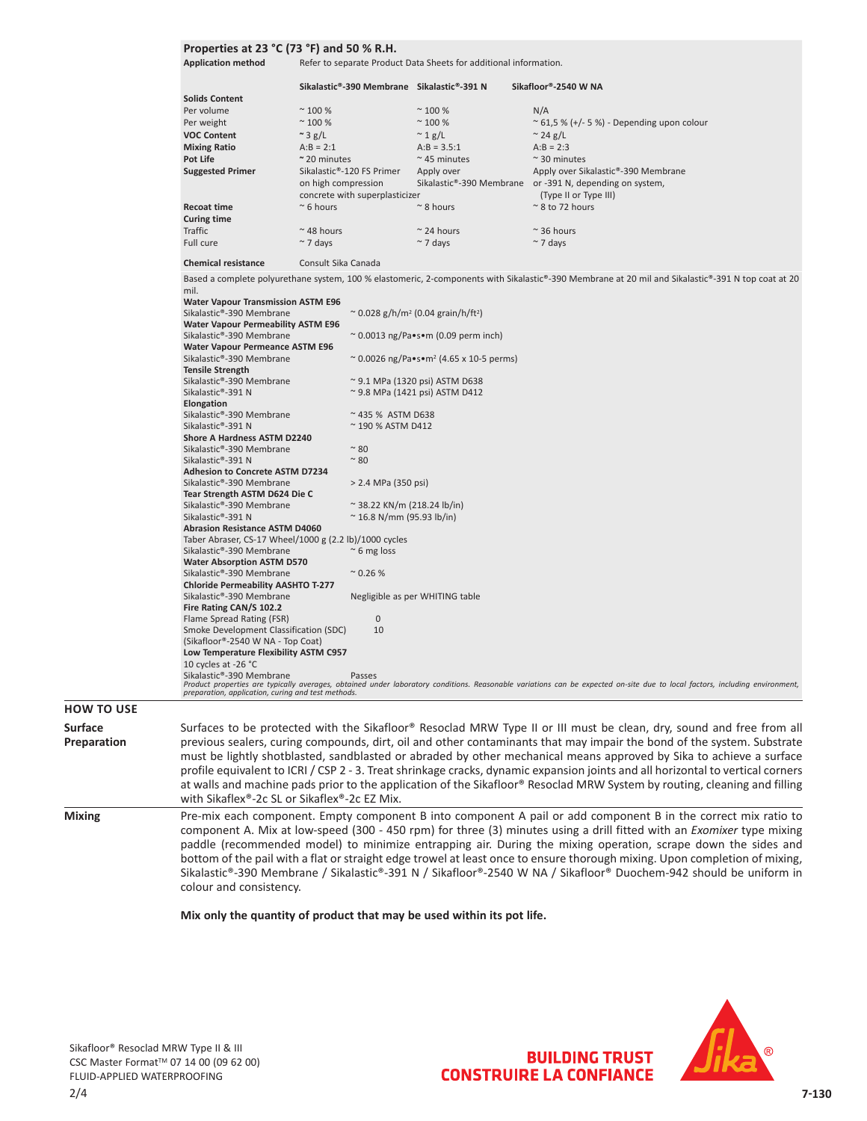## **Properties at 23 °C (73 °F) and 50 % R.H.**

Application method Refer to separate Product Data Sheets for additional information.

|                                          | Sikalastic®-390 Membrane                                                           | Sikalastic®-391 N                      | Sikafloor®-2540 W NA                                                                            |
|------------------------------------------|------------------------------------------------------------------------------------|----------------------------------------|-------------------------------------------------------------------------------------------------|
| <b>Solids Content</b>                    |                                                                                    |                                        |                                                                                                 |
| Per volume                               | $~^{\sim}$ 100 %                                                                   | $~^{\sim}$ 100 %                       | N/A                                                                                             |
| Per weight                               | $~^{\sim}$ 100 %                                                                   | $~^{\sim}$ 100 %                       | $\approx$ 61,5 % (+/- 5 %) - Depending upon colour                                              |
| <b>VOC Content</b>                       | $\approx$ 3 g/L                                                                    | $\sim 1$ g/L                           | $\approx$ 24 g/L                                                                                |
| <b>Mixing Ratio</b>                      | $A:B = 2:1$                                                                        | $A:B = 3.5:1$                          | $A:B = 2:3$                                                                                     |
| Pot Life                                 | $~\sim$ 20 minutes                                                                 | $~\sim$ 45 minutes                     | $\approx$ 30 minutes                                                                            |
| <b>Suggested Primer</b>                  | Sikalastic®-120 FS Primer<br>on high compression<br>concrete with superplasticizer | Apply over<br>Sikalastic®-390 Membrane | Apply over Sikalastic®-390 Membrane<br>or -391 N, depending on system,<br>(Type II or Type III) |
| <b>Recoat time</b><br><b>Curing time</b> | $~\sim$ 6 hours                                                                    | $\approx$ 8 hours                      | $\approx$ 8 to 72 hours                                                                         |
| Traffic                                  | $~\sim$ 48 hours                                                                   | $\approx$ 24 hours                     | $~\sim$ 36 hours                                                                                |
| Full cure                                | $\sim$ 7 days                                                                      | $~\sim$ 7 days                         | $\sim$ 7 days                                                                                   |

**Chemical resistance** Consult Sika Canada

Based a complete polyurethane system, 100 % elastomeric, 2-components with Sikalastic®-390 Membrane at 20 mil and Sikalastic®-391 N top coat at 20 mil.

| <b>Water Vapour Transmission ASTM E96</b>              |                                                                                                                                                                             |
|--------------------------------------------------------|-----------------------------------------------------------------------------------------------------------------------------------------------------------------------------|
| Sikalastic®-390 Membrane                               | ~ 0.028 g/h/m <sup>2</sup> (0.04 grain/h/ft <sup>2</sup> )                                                                                                                  |
| <b>Water Vapour Permeability ASTM E96</b>              |                                                                                                                                                                             |
| Sikalastic®-390 Membrane                               | ~ 0.0013 ng/Pa•s•m (0.09 perm inch)                                                                                                                                         |
| <b>Water Vapour Permeance ASTM E96</b>                 |                                                                                                                                                                             |
| Sikalastic®-390 Membrane                               | ~ 0.0026 ng/Pa•s•m <sup>2</sup> (4.65 x 10-5 perms)                                                                                                                         |
| <b>Tensile Strength</b>                                |                                                                                                                                                                             |
| Sikalastic®-390 Membrane                               | $^{\circ}$ 9.1 MPa (1320 psi) ASTM D638                                                                                                                                     |
| Sikalastic®-391 N                                      | $\sim$ 9.8 MPa (1421 psi) ASTM D412                                                                                                                                         |
| Elongation                                             |                                                                                                                                                                             |
| Sikalastic®-390 Membrane                               | $~\sim$ 435 % ASTM D638                                                                                                                                                     |
| Sikalastic®-391 N                                      | $\approx$ 190 % ASTM D412                                                                                                                                                   |
| Shore A Hardness ASTM D2240                            |                                                                                                                                                                             |
| Sikalastic®-390 Membrane                               | $~^{\sim}$ 80                                                                                                                                                               |
| Sikalastic®-391 N                                      | $~^{\sim}$ 80                                                                                                                                                               |
| Adhesion to Concrete ASTM D7234                        |                                                                                                                                                                             |
| Sikalastic®-390 Membrane                               | > 2.4 MPa (350 psi)                                                                                                                                                         |
| Tear Strength ASTM D624 Die C                          |                                                                                                                                                                             |
| Sikalastic®-390 Membrane                               | $\approx$ 38.22 KN/m (218.24 lb/in)                                                                                                                                         |
| Sikalastic®-391 N                                      | $\approx$ 16.8 N/mm (95.93 lb/in)                                                                                                                                           |
| <b>Abrasion Resistance ASTM D4060</b>                  |                                                                                                                                                                             |
| Taber Abraser, CS-17 Wheel/1000 g (2.2 lb)/1000 cycles |                                                                                                                                                                             |
| Sikalastic®-390 Membrane                               | $\approx$ 6 mg loss                                                                                                                                                         |
| <b>Water Absorption ASTM D570</b>                      |                                                                                                                                                                             |
| Sikalastic®-390 Membrane                               | $^{\sim}$ 0.26 %                                                                                                                                                            |
| <b>Chloride Permeability AASHTO T-277</b>              |                                                                                                                                                                             |
| Sikalastic®-390 Membrane                               | Negligible as per WHITING table                                                                                                                                             |
| Fire Rating CAN/S 102.2                                |                                                                                                                                                                             |
| Flame Spread Rating (FSR)                              | $\mathbf{0}$                                                                                                                                                                |
| Smoke Development Classification (SDC)                 | 10                                                                                                                                                                          |
| (Sikafloor®-2540 W NA - Top Coat)                      |                                                                                                                                                                             |
| Low Temperature Flexibility ASTM C957                  |                                                                                                                                                                             |
| 10 cycles at -26 °C                                    |                                                                                                                                                                             |
| Sikalastic®-390 Membrane                               | Passes                                                                                                                                                                      |
|                                                        | Product properties are typically averages, obtained under laboratory conditions. Reasonable variations can be expected on-site due to local factors, including environment, |
| preparation, application, curing and test methods.     |                                                                                                                                                                             |

**Preparation** must be lightly shotblasted, sandblasted or abraded by other mechanical means approved by Sika to achieve a surface profile equivalent to ICRI / CSP 2 - 3. Treat shrinkage cracks, dynamic expansion joints and all horizontal to vertical corners at walls and machine pads prior to the application of the Sikafloor® Resoclad MRW System by routing, cleaning and filling with Sikaflex®-2c SL or Sikaflex®-2c EZ Mix. **Mixing** Pre-mix each component. Empty component B into component A pail or add component B in the correct mix ratio to component A. Mix at low-speed (300 - 450 rpm) for three (3) minutes using a drill fitted with an *Exomixer* type mixing paddle (recommended model) to minimize entrapping air. During the mixing operation, scrape down the sides and bottom of the pail with a flat or straight edge trowel at least once to ensure thorough mixing. Upon completion of mixing, Sikalastic®-390 Membrane / Sikalastic®-391 N / Sikafloor®-2540 W NA / Sikafloor® Duochem-942 should be uniform in colour and consistency.

**Mix only the quantity of product that may be used within its pot life.**



**BUILDING TRUST** 

**CONSTRUIRE LA CONFIANCE** 

**HOW TO USE Surface**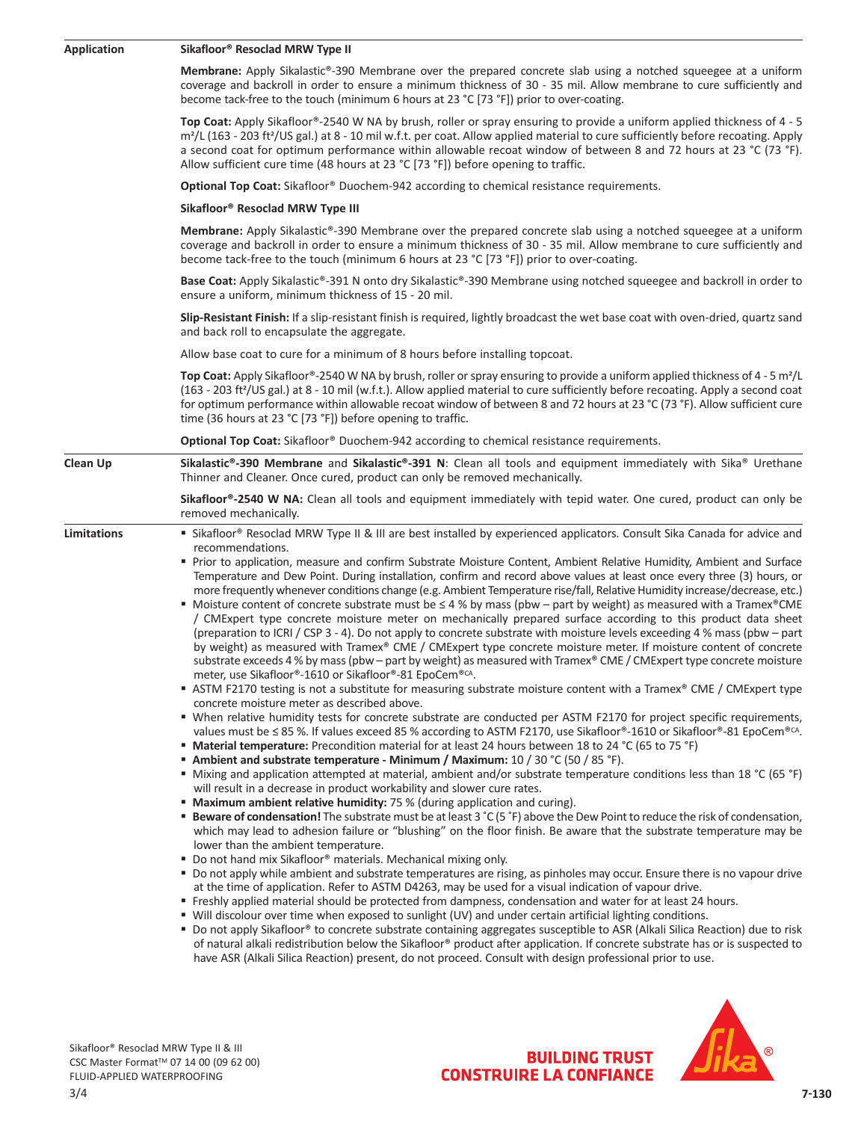| <b>Application</b> | Sikafloor® Resoclad MRW Type II                                                                                                                                                                                                                                                                                                                                                                                                                                                                                                                                                                                                                                                                                                                                                                                                                                                                                                                                                                                                                                                                                                                                                                                                                                                                                                                                                                                                                                                                                                                                                                                                                                                                                                                                                                                                                                                                                                                                                                                                                                                                                                                                                                                                                                                                                                                                                                                                                                                                                                                                                                                                                                                                                                                                                                                                                                                                                                                                                                                                                                                                                                                                                                                                                                                                                                                                                              |  |  |  |  |
|--------------------|----------------------------------------------------------------------------------------------------------------------------------------------------------------------------------------------------------------------------------------------------------------------------------------------------------------------------------------------------------------------------------------------------------------------------------------------------------------------------------------------------------------------------------------------------------------------------------------------------------------------------------------------------------------------------------------------------------------------------------------------------------------------------------------------------------------------------------------------------------------------------------------------------------------------------------------------------------------------------------------------------------------------------------------------------------------------------------------------------------------------------------------------------------------------------------------------------------------------------------------------------------------------------------------------------------------------------------------------------------------------------------------------------------------------------------------------------------------------------------------------------------------------------------------------------------------------------------------------------------------------------------------------------------------------------------------------------------------------------------------------------------------------------------------------------------------------------------------------------------------------------------------------------------------------------------------------------------------------------------------------------------------------------------------------------------------------------------------------------------------------------------------------------------------------------------------------------------------------------------------------------------------------------------------------------------------------------------------------------------------------------------------------------------------------------------------------------------------------------------------------------------------------------------------------------------------------------------------------------------------------------------------------------------------------------------------------------------------------------------------------------------------------------------------------------------------------------------------------------------------------------------------------------------------------------------------------------------------------------------------------------------------------------------------------------------------------------------------------------------------------------------------------------------------------------------------------------------------------------------------------------------------------------------------------------------------------------------------------------------------------------------------------|--|--|--|--|
|                    | Membrane: Apply Sikalastic®-390 Membrane over the prepared concrete slab using a notched squeegee at a uniform<br>coverage and backroll in order to ensure a minimum thickness of 30 - 35 mil. Allow membrane to cure sufficiently and<br>become tack-free to the touch (minimum 6 hours at 23 °C [73 °F]) prior to over-coating.                                                                                                                                                                                                                                                                                                                                                                                                                                                                                                                                                                                                                                                                                                                                                                                                                                                                                                                                                                                                                                                                                                                                                                                                                                                                                                                                                                                                                                                                                                                                                                                                                                                                                                                                                                                                                                                                                                                                                                                                                                                                                                                                                                                                                                                                                                                                                                                                                                                                                                                                                                                                                                                                                                                                                                                                                                                                                                                                                                                                                                                            |  |  |  |  |
|                    | Top Coat: Apply Sikafloor®-2540 W NA by brush, roller or spray ensuring to provide a uniform applied thickness of 4 - 5<br>m <sup>2</sup> /L (163 - 203 ft <sup>2</sup> /US gal.) at 8 - 10 mil w.f.t. per coat. Allow applied material to cure sufficiently before recoating. Apply<br>a second coat for optimum performance within allowable recoat window of between 8 and 72 hours at 23 °C (73 °F).<br>Allow sufficient cure time (48 hours at 23 °C [73 °F]) before opening to traffic.                                                                                                                                                                                                                                                                                                                                                                                                                                                                                                                                                                                                                                                                                                                                                                                                                                                                                                                                                                                                                                                                                                                                                                                                                                                                                                                                                                                                                                                                                                                                                                                                                                                                                                                                                                                                                                                                                                                                                                                                                                                                                                                                                                                                                                                                                                                                                                                                                                                                                                                                                                                                                                                                                                                                                                                                                                                                                                |  |  |  |  |
|                    | Optional Top Coat: Sikafloor® Duochem-942 according to chemical resistance requirements.                                                                                                                                                                                                                                                                                                                                                                                                                                                                                                                                                                                                                                                                                                                                                                                                                                                                                                                                                                                                                                                                                                                                                                                                                                                                                                                                                                                                                                                                                                                                                                                                                                                                                                                                                                                                                                                                                                                                                                                                                                                                                                                                                                                                                                                                                                                                                                                                                                                                                                                                                                                                                                                                                                                                                                                                                                                                                                                                                                                                                                                                                                                                                                                                                                                                                                     |  |  |  |  |
|                    | Sikafloor® Resoclad MRW Type III                                                                                                                                                                                                                                                                                                                                                                                                                                                                                                                                                                                                                                                                                                                                                                                                                                                                                                                                                                                                                                                                                                                                                                                                                                                                                                                                                                                                                                                                                                                                                                                                                                                                                                                                                                                                                                                                                                                                                                                                                                                                                                                                                                                                                                                                                                                                                                                                                                                                                                                                                                                                                                                                                                                                                                                                                                                                                                                                                                                                                                                                                                                                                                                                                                                                                                                                                             |  |  |  |  |
|                    | Membrane: Apply Sikalastic®-390 Membrane over the prepared concrete slab using a notched squeegee at a uniform<br>coverage and backroll in order to ensure a minimum thickness of 30 - 35 mil. Allow membrane to cure sufficiently and<br>become tack-free to the touch (minimum 6 hours at 23 °C [73 °F]) prior to over-coating.                                                                                                                                                                                                                                                                                                                                                                                                                                                                                                                                                                                                                                                                                                                                                                                                                                                                                                                                                                                                                                                                                                                                                                                                                                                                                                                                                                                                                                                                                                                                                                                                                                                                                                                                                                                                                                                                                                                                                                                                                                                                                                                                                                                                                                                                                                                                                                                                                                                                                                                                                                                                                                                                                                                                                                                                                                                                                                                                                                                                                                                            |  |  |  |  |
|                    | Base Coat: Apply Sikalastic®-391 N onto dry Sikalastic®-390 Membrane using notched squeegee and backroll in order to<br>ensure a uniform, minimum thickness of 15 - 20 mil.                                                                                                                                                                                                                                                                                                                                                                                                                                                                                                                                                                                                                                                                                                                                                                                                                                                                                                                                                                                                                                                                                                                                                                                                                                                                                                                                                                                                                                                                                                                                                                                                                                                                                                                                                                                                                                                                                                                                                                                                                                                                                                                                                                                                                                                                                                                                                                                                                                                                                                                                                                                                                                                                                                                                                                                                                                                                                                                                                                                                                                                                                                                                                                                                                  |  |  |  |  |
|                    | Slip-Resistant Finish: If a slip-resistant finish is required, lightly broadcast the wet base coat with oven-dried, quartz sand<br>and back roll to encapsulate the aggregate.                                                                                                                                                                                                                                                                                                                                                                                                                                                                                                                                                                                                                                                                                                                                                                                                                                                                                                                                                                                                                                                                                                                                                                                                                                                                                                                                                                                                                                                                                                                                                                                                                                                                                                                                                                                                                                                                                                                                                                                                                                                                                                                                                                                                                                                                                                                                                                                                                                                                                                                                                                                                                                                                                                                                                                                                                                                                                                                                                                                                                                                                                                                                                                                                               |  |  |  |  |
|                    | Allow base coat to cure for a minimum of 8 hours before installing topcoat.                                                                                                                                                                                                                                                                                                                                                                                                                                                                                                                                                                                                                                                                                                                                                                                                                                                                                                                                                                                                                                                                                                                                                                                                                                                                                                                                                                                                                                                                                                                                                                                                                                                                                                                                                                                                                                                                                                                                                                                                                                                                                                                                                                                                                                                                                                                                                                                                                                                                                                                                                                                                                                                                                                                                                                                                                                                                                                                                                                                                                                                                                                                                                                                                                                                                                                                  |  |  |  |  |
|                    | Top Coat: Apply Sikafloor®-2540 W NA by brush, roller or spray ensuring to provide a uniform applied thickness of 4 - 5 m <sup>2</sup> /L<br>(163 - 203 ft <sup>2</sup> /US gal.) at 8 - 10 mil (w.f.t.). Allow applied material to cure sufficiently before recoating. Apply a second coat<br>for optimum performance within allowable recoat window of between 8 and 72 hours at 23 °C (73 °F). Allow sufficient cure<br>time (36 hours at 23 °C [73 °F]) before opening to traffic.                                                                                                                                                                                                                                                                                                                                                                                                                                                                                                                                                                                                                                                                                                                                                                                                                                                                                                                                                                                                                                                                                                                                                                                                                                                                                                                                                                                                                                                                                                                                                                                                                                                                                                                                                                                                                                                                                                                                                                                                                                                                                                                                                                                                                                                                                                                                                                                                                                                                                                                                                                                                                                                                                                                                                                                                                                                                                                       |  |  |  |  |
|                    | Optional Top Coat: Sikafloor® Duochem-942 according to chemical resistance requirements.                                                                                                                                                                                                                                                                                                                                                                                                                                                                                                                                                                                                                                                                                                                                                                                                                                                                                                                                                                                                                                                                                                                                                                                                                                                                                                                                                                                                                                                                                                                                                                                                                                                                                                                                                                                                                                                                                                                                                                                                                                                                                                                                                                                                                                                                                                                                                                                                                                                                                                                                                                                                                                                                                                                                                                                                                                                                                                                                                                                                                                                                                                                                                                                                                                                                                                     |  |  |  |  |
| <b>Clean Up</b>    | Sikalastic®-390 Membrane and Sikalastic®-391 N: Clean all tools and equipment immediately with Sika® Urethane<br>Thinner and Cleaner. Once cured, product can only be removed mechanically.                                                                                                                                                                                                                                                                                                                                                                                                                                                                                                                                                                                                                                                                                                                                                                                                                                                                                                                                                                                                                                                                                                                                                                                                                                                                                                                                                                                                                                                                                                                                                                                                                                                                                                                                                                                                                                                                                                                                                                                                                                                                                                                                                                                                                                                                                                                                                                                                                                                                                                                                                                                                                                                                                                                                                                                                                                                                                                                                                                                                                                                                                                                                                                                                  |  |  |  |  |
|                    | Sikafloor®-2540 W NA: Clean all tools and equipment immediately with tepid water. One cured, product can only be<br>removed mechanically.                                                                                                                                                                                                                                                                                                                                                                                                                                                                                                                                                                                                                                                                                                                                                                                                                                                                                                                                                                                                                                                                                                                                                                                                                                                                                                                                                                                                                                                                                                                                                                                                                                                                                                                                                                                                                                                                                                                                                                                                                                                                                                                                                                                                                                                                                                                                                                                                                                                                                                                                                                                                                                                                                                                                                                                                                                                                                                                                                                                                                                                                                                                                                                                                                                                    |  |  |  |  |
| Limitations        | " Sikafloor® Resoclad MRW Type II & III are best installed by experienced applicators. Consult Sika Canada for advice and<br>recommendations.<br>" Prior to application, measure and confirm Substrate Moisture Content, Ambient Relative Humidity, Ambient and Surface<br>Temperature and Dew Point. During installation, confirm and record above values at least once every three (3) hours, or<br>more frequently whenever conditions change (e.g. Ambient Temperature rise/fall, Relative Humidity increase/decrease, etc.)<br>• Moisture content of concrete substrate must be $\leq 4$ % by mass (pbw – part by weight) as measured with a Tramex®CME<br>/ CMExpert type concrete moisture meter on mechanically prepared surface according to this product data sheet<br>(preparation to ICRI / CSP 3 - 4). Do not apply to concrete substrate with moisture levels exceeding 4 % mass (pbw - part<br>by weight) as measured with Tramex® CME / CMExpert type concrete moisture meter. If moisture content of concrete<br>substrate exceeds 4 % by mass (pbw - part by weight) as measured with Tramex® CME / CMExpert type concrete moisture<br>meter, use Sikafloor®-1610 or Sikafloor®-81 EpoCem®CA.<br>ASTM F2170 testing is not a substitute for measuring substrate moisture content with a Tramex® CME / CMExpert type<br>concrete moisture meter as described above.<br>" When relative humidity tests for concrete substrate are conducted per ASTM F2170 for project specific requirements,<br>values must be $\leq$ 85 %. If values exceed 85 % according to ASTM F2170, use Sikafloor®-1610 or Sikafloor®-81 EpoCem®CA.<br>■ Material temperature: Precondition material for at least 24 hours between 18 to 24 °C (65 to 75 °F)<br><b>Ambient and substrate temperature - Minimum / Maximum:</b> $10/30$ °C (50 / 85 °F).<br>■ Mixing and application attempted at material, ambient and/or substrate temperature conditions less than 18 °C (65 °F)<br>will result in a decrease in product workability and slower cure rates.<br><b>• Maximum ambient relative humidity:</b> 75 % (during application and curing).<br><b>Beware of condensation!</b> The substrate must be at least $3^{\circ}C(5^{\circ}F)$ above the Dew Point to reduce the risk of condensation,<br>which may lead to adhesion failure or "blushing" on the floor finish. Be aware that the substrate temperature may be<br>lower than the ambient temperature.<br>■ Do not hand mix Sikafloor <sup>®</sup> materials. Mechanical mixing only.<br>" Do not apply while ambient and substrate temperatures are rising, as pinholes may occur. Ensure there is no vapour drive<br>at the time of application. Refer to ASTM D4263, may be used for a visual indication of vapour drive.<br>■ Freshly applied material should be protected from dampness, condensation and water for at least 24 hours.<br>■ Will discolour over time when exposed to sunlight (UV) and under certain artificial lighting conditions.<br>" Do not apply Sikafloor® to concrete substrate containing aggregates susceptible to ASR (Alkali Silica Reaction) due to risk<br>of natural alkali redistribution below the Sikafloor® product after application. If concrete substrate has or is suspected to<br>have ASR (Alkali Silica Reaction) present, do not proceed. Consult with design professional prior to use. |  |  |  |  |



Sika

BUILDING TRUST<br>CONSTRUIRE LA CONFIANCE